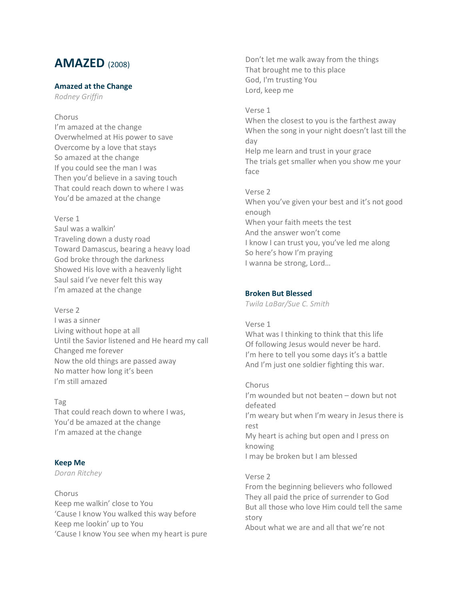# **AMAZED** (2008)

# **Amazed at the Change**

*Rodney Griffin*

# Chorus

I'm amazed at the change Overwhelmed at His power to save Overcome by a love that stays So amazed at the change If you could see the man I was Then you'd believe in a saving touch That could reach down to where I was You'd be amazed at the change

# Verse 1

Saul was a walkin' Traveling down a dusty road Toward Damascus, bearing a heavy load God broke through the darkness Showed His love with a heavenly light Saul said I've never felt this way I'm amazed at the change

# Verse 2

I was a sinner Living without hope at all Until the Savior listened and He heard my call Changed me forever Now the old things are passed away No matter how long it's been I'm still amazed

# Tag

That could reach down to where I was, You'd be amazed at the change I'm amazed at the change

# **Keep Me**

*Doran Ritchey*

# Chorus Keep me walkin' close to You 'Cause I know You walked this way before Keep me lookin' up to You 'Cause I know You see when my heart is pure

Don't let me walk away from the things That brought me to this place God, I'm trusting You Lord, keep me

# Verse 1

When the closest to you is the farthest away When the song in your night doesn't last till the day Help me learn and trust in your grace The trials get smaller when you show me your face

Verse 2

When you've given your best and it's not good enough When your faith meets the test And the answer won't come I know I can trust you, you've led me along So here's how I'm praying I wanna be strong, Lord…

# **Broken But Blessed**

*Twila LaBar/Sue C. Smith*

# Verse 1

What was I thinking to think that this life Of following Jesus would never be hard. I'm here to tell you some days it's a battle And I'm just one soldier fighting this war.

# Chorus

I'm wounded but not beaten – down but not defeated I'm weary but when I'm weary in Jesus there is rest My heart is aching but open and I press on knowing I may be broken but I am blessed

# Verse 2

From the beginning believers who followed They all paid the price of surrender to God But all those who love Him could tell the same story About what we are and all that we're not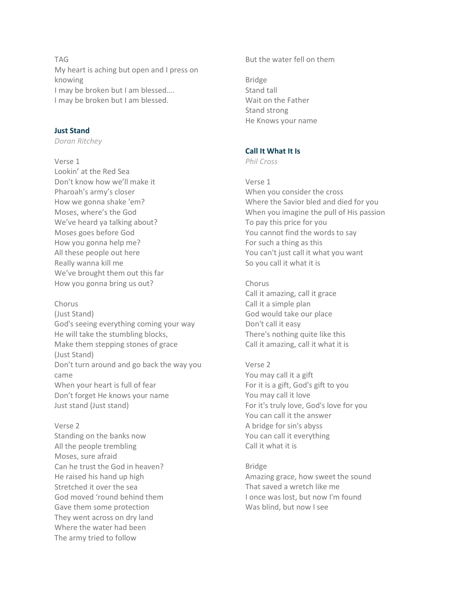TAG My heart is aching but open and I press on knowing I may be broken but I am blessed…. I may be broken but I am blessed.

# **Just Stand**

*Doran Ritchey*

Verse 1

Lookin' at the Red Sea Don't know how we'll make it Pharoah's army's closer How we gonna shake 'em? Moses, where's the God We've heard ya talking about? Moses goes before God How you gonna help me? All these people out here Really wanna kill me We've brought them out this far How you gonna bring us out?

# Chorus

(Just Stand) God's seeing everything coming your way He will take the stumbling blocks, Make them stepping stones of grace (Just Stand) Don't turn around and go back the way you came When your heart is full of fear Don't forget He knows your name Just stand (Just stand)

Verse 2 Standing on the banks now All the people trembling Moses, sure afraid Can he trust the God in heaven? He raised his hand up high Stretched it over the sea God moved 'round behind them Gave them some protection They went across on dry land Where the water had been The army tried to follow

But the water fell on them

Bridge Stand tall Wait on the Father Stand strong He Knows your name

# **Call It What It Is**

*Phil Cross*

Verse 1 When you consider the cross Where the Savior bled and died for you When you imagine the pull of His passion To pay this price for you You cannot find the words to say For such a thing as this You can't just call it what you want So you call it what it is

- Chorus Call it amazing, call it grace Call it a simple plan God would take our place Don't call it easy There's nothing quite like this Call it amazing, call it what it is
- Verse 2 You may call it a gift For it is a gift, God's gift to you You may call it love For it's truly love, God's love for you You can call it the answer A bridge for sin's abyss You can call it everything Call it what it is

Bridge Amazing grace, how sweet the sound That saved a wretch like me I once was lost, but now I'm found Was blind, but now I see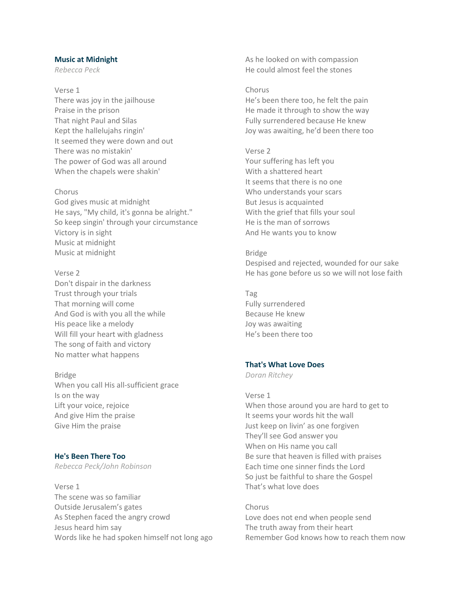### **Music at Midnight**

*Rebecca Peck*

Verse 1 There was joy in the jailhouse Praise in the prison That night Paul and Silas Kept the hallelujahs ringin' It seemed they were down and out There was no mistakin' The power of God was all around When the chapels were shakin'

#### Chorus

God gives music at midnight He says, "My child, it's gonna be alright." So keep singin' through your circumstance Victory is in sight Music at midnight Music at midnight

Verse 2 Don't dispair in the darkness Trust through your trials That morning will come And God is with you all the while His peace like a melody Will fill your heart with gladness The song of faith and victory No matter what happens

Bridge When you call His all-sufficient grace Is on the way Lift your voice, rejoice And give Him the praise Give Him the praise

**He's Been There Too** *Rebecca Peck/John Robinson*

Verse 1 The scene was so familiar Outside Jerusalem's gates As Stephen faced the angry crowd Jesus heard him say Words like he had spoken himself not long ago As he looked on with compassion He could almost feel the stones

## Chorus

He's been there too, he felt the pain He made it through to show the way Fully surrendered because He knew Joy was awaiting, he'd been there too

#### Verse 2

Your suffering has left you With a shattered heart It seems that there is no one Who understands your scars But Jesus is acquainted With the grief that fills your soul He is the man of sorrows And He wants you to know

#### Bridge

Despised and rejected, wounded for our sake He has gone before us so we will not lose faith

Tag Fully surrendered Because He knew Joy was awaiting He's been there too

## **That's What Love Does**

*Doran Ritchey*

Verse 1 When those around you are hard to get to It seems your words hit the wall Just keep on livin' as one forgiven They'll see God answer you When on His name you call Be sure that heaven is filled with praises Each time one sinner finds the Lord So just be faithful to share the Gospel That's what love does

Chorus Love does not end when people send The truth away from their heart Remember God knows how to reach them now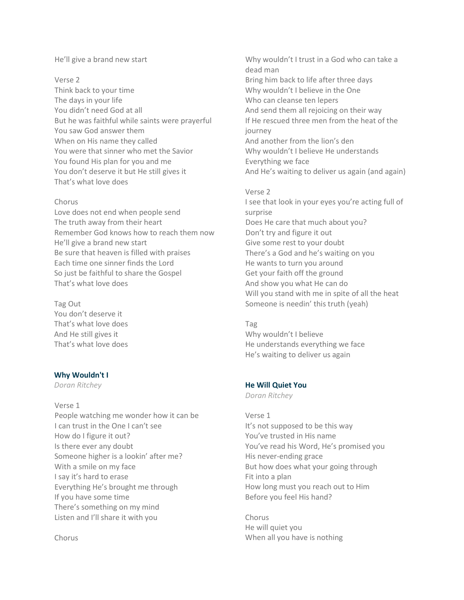# He'll give a brand new start

#### Verse 2

Think back to your time The days in your life You didn't need God at all But he was faithful while saints were prayerful You saw God answer them When on His name they called You were that sinner who met the Savior You found His plan for you and me You don't deserve it but He still gives it That's what love does

#### Chorus

Love does not end when people send The truth away from their heart Remember God knows how to reach them now He'll give a brand new start Be sure that heaven is filled with praises Each time one sinner finds the Lord So just be faithful to share the Gospel That's what love does

Tag Out You don't deserve it That's what love does And He still gives it That's what love does

# **Why Wouldn't I**

*Doran Ritchey*

Verse 1 People watching me wonder how it can be I can trust in the One I can't see How do I figure it out? Is there ever any doubt Someone higher is a lookin' after me? With a smile on my face I say it's hard to erase Everything He's brought me through If you have some time There's something on my mind Listen and I'll share it with you

Chorus

Why wouldn't I trust in a God who can take a dead man Bring him back to life after three days Why wouldn't I believe in the One Who can cleanse ten lepers And send them all rejoicing on their way If He rescued three men from the heat of the journey And another from the lion's den Why wouldn't I believe He understands Everything we face And He's waiting to deliver us again (and again)

# Verse 2 I see that look in your eyes you're acting full of surprise Does He care that much about you? Don't try and figure it out Give some rest to your doubt There's a God and he's waiting on you He wants to turn you around Get your faith off the ground And show you what He can do Will you stand with me in spite of all the heat Someone is needin' this truth (yeah)

#### Tag

Why wouldn't I believe He understands everything we face He's waiting to deliver us again

# **He Will Quiet You**

*Doran Ritchey*

Verse 1 It's not supposed to be this way You've trusted in His name You've read his Word, He's promised you His never-ending grace But how does what your going through Fit into a plan How long must you reach out to Him Before you feel His hand?

Chorus He will quiet you When all you have is nothing